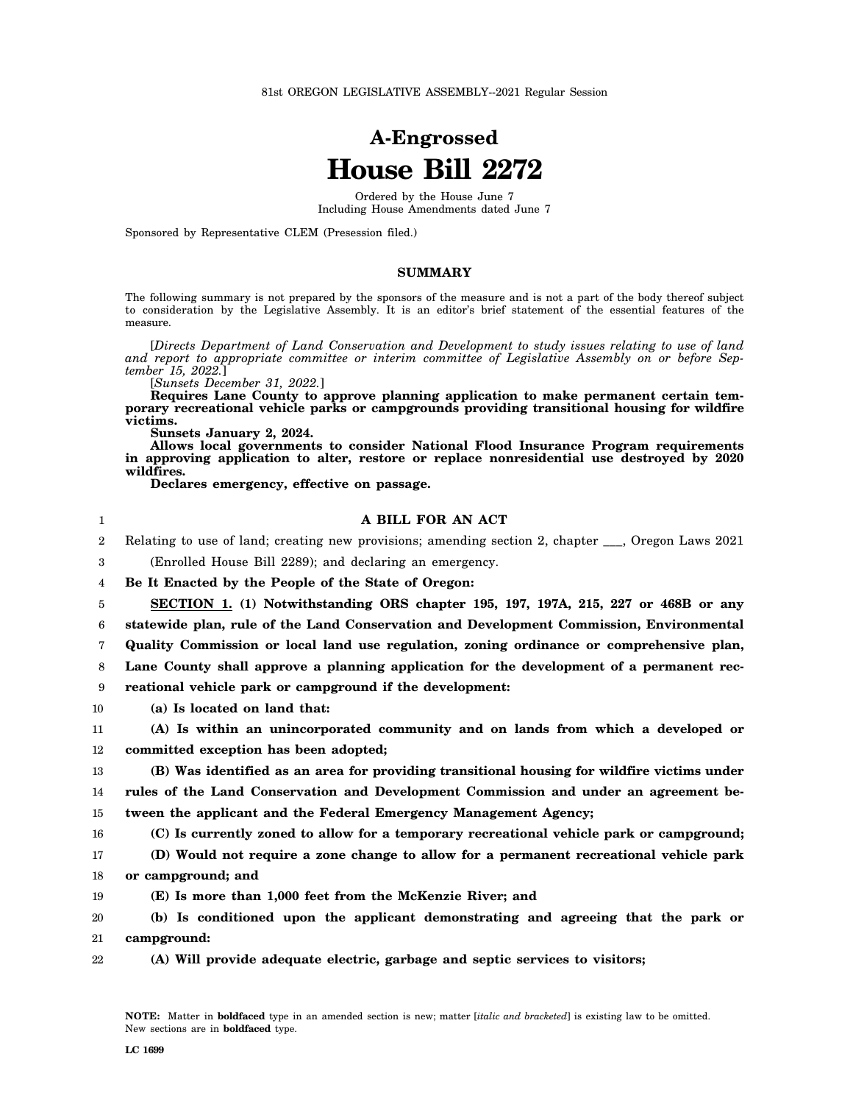# **A-Engrossed House Bill 2272**

Ordered by the House June 7 Including House Amendments dated June 7

Sponsored by Representative CLEM (Presession filed.)

#### **SUMMARY**

The following summary is not prepared by the sponsors of the measure and is not a part of the body thereof subject to consideration by the Legislative Assembly. It is an editor's brief statement of the essential features of the measure.

[*Directs Department of Land Conservation and Development to study issues relating to use of land and report to appropriate committee or interim committee of Legislative Assembly on or before September 15, 2022.*]

[*Sunsets December 31, 2022.*]

**Requires Lane County to approve planning application to make permanent certain temporary recreational vehicle parks or campgrounds providing transitional housing for wildfire victims.**

**Sunsets January 2, 2024.**

**Allows local governments to consider National Flood Insurance Program requirements in approving application to alter, restore or replace nonresidential use destroyed by 2020 wildfires.**

**Declares emergency, effective on passage.**

### **A BILL FOR AN ACT**

2 Relating to use of land; creating new provisions; amending section 2, chapter \_\_\_, Oregon Laws 2021

3 (Enrolled House Bill 2289); and declaring an emergency.

4 **Be It Enacted by the People of the State of Oregon:**

5 **SECTION 1. (1) Notwithstanding ORS chapter 195, 197, 197A, 215, 227 or 468B or any**

6 **statewide plan, rule of the Land Conservation and Development Commission, Environmental**

7 **Quality Commission or local land use regulation, zoning ordinance or comprehensive plan,**

8 **Lane County shall approve a planning application for the development of a permanent rec-**

9 **reational vehicle park or campground if the development:**

10 **(a) Is located on land that:**

11 12 **(A) Is within an unincorporated community and on lands from which a developed or committed exception has been adopted;**

13 14 15 **(B) Was identified as an area for providing transitional housing for wildfire victims under rules of the Land Conservation and Development Commission and under an agreement between the applicant and the Federal Emergency Management Agency;**

16 **(C) Is currently zoned to allow for a temporary recreational vehicle park or campground;**

17 18 **(D) Would not require a zone change to allow for a permanent recreational vehicle park or campground; and**

19 **(E) Is more than 1,000 feet from the McKenzie River; and**

20 21 **(b) Is conditioned upon the applicant demonstrating and agreeing that the park or campground:**

22 **(A) Will provide adequate electric, garbage and septic services to visitors;**

1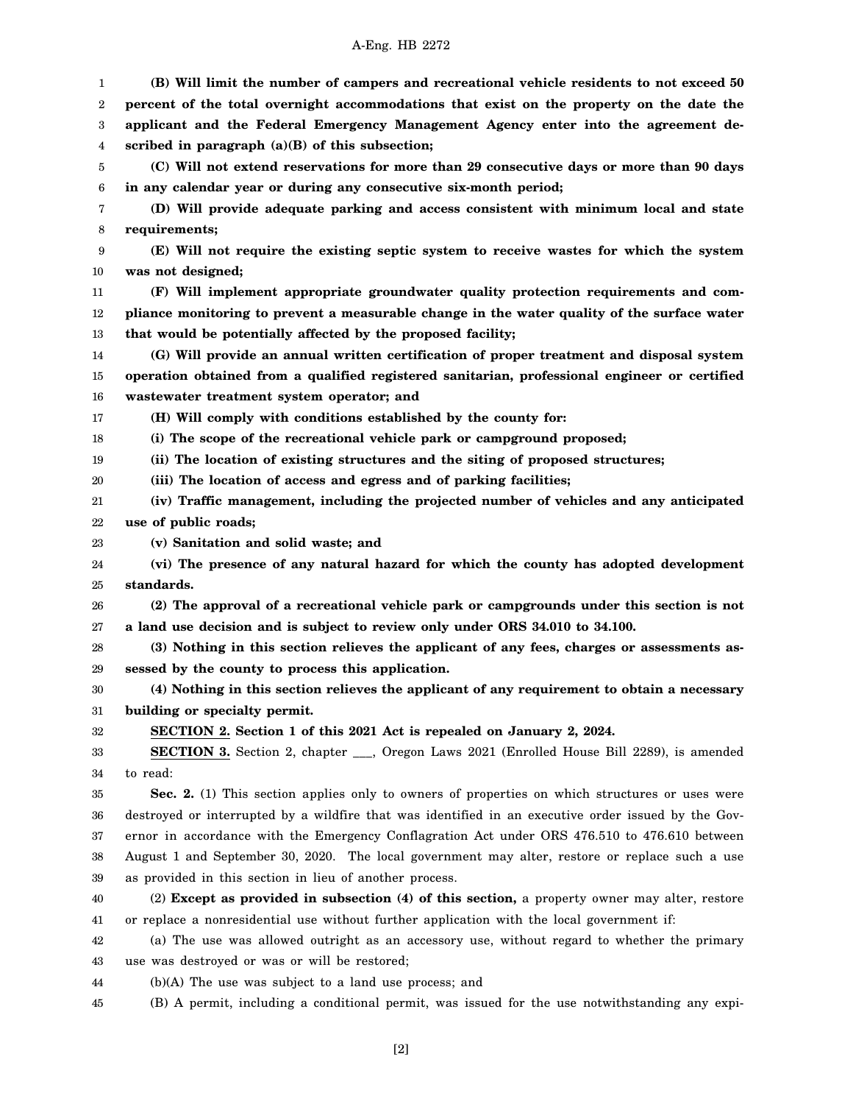#### A-Eng. HB 2272

1 2 3 4 5 6 7 8 9 10 11 12 13 14 15 16 17 18 19 20 21 22 23 24 25 26 27 28 29 30 31 32 33 34 35 36 37 38 39 40 41 42 43 44 45 **(B) Will limit the number of campers and recreational vehicle residents to not exceed 50 percent of the total overnight accommodations that exist on the property on the date the applicant and the Federal Emergency Management Agency enter into the agreement described in paragraph (a)(B) of this subsection; (C) Will not extend reservations for more than 29 consecutive days or more than 90 days in any calendar year or during any consecutive six-month period; (D) Will provide adequate parking and access consistent with minimum local and state requirements; (E) Will not require the existing septic system to receive wastes for which the system was not designed; (F) Will implement appropriate groundwater quality protection requirements and compliance monitoring to prevent a measurable change in the water quality of the surface water that would be potentially affected by the proposed facility; (G) Will provide an annual written certification of proper treatment and disposal system operation obtained from a qualified registered sanitarian, professional engineer or certified wastewater treatment system operator; and (H) Will comply with conditions established by the county for: (i) The scope of the recreational vehicle park or campground proposed; (ii) The location of existing structures and the siting of proposed structures; (iii) The location of access and egress and of parking facilities; (iv) Traffic management, including the projected number of vehicles and any anticipated use of public roads; (v) Sanitation and solid waste; and (vi) The presence of any natural hazard for which the county has adopted development standards. (2) The approval of a recreational vehicle park or campgrounds under this section is not a land use decision and is subject to review only under ORS 34.010 to 34.100. (3) Nothing in this section relieves the applicant of any fees, charges or assessments assessed by the county to process this application. (4) Nothing in this section relieves the applicant of any requirement to obtain a necessary building or specialty permit. SECTION 2. Section 1 of this 2021 Act is repealed on January 2, 2024. SECTION 3.** Section 2, chapter \_\_\_, Oregon Laws 2021 (Enrolled House Bill 2289), is amended to read: **Sec. 2.** (1) This section applies only to owners of properties on which structures or uses were destroyed or interrupted by a wildfire that was identified in an executive order issued by the Governor in accordance with the Emergency Conflagration Act under ORS 476.510 to 476.610 between August 1 and September 30, 2020. The local government may alter, restore or replace such a use as provided in this section in lieu of another process. (2) **Except as provided in subsection (4) of this section,** a property owner may alter, restore or replace a nonresidential use without further application with the local government if: (a) The use was allowed outright as an accessory use, without regard to whether the primary use was destroyed or was or will be restored; (b)(A) The use was subject to a land use process; and (B) A permit, including a conditional permit, was issued for the use notwithstanding any expi-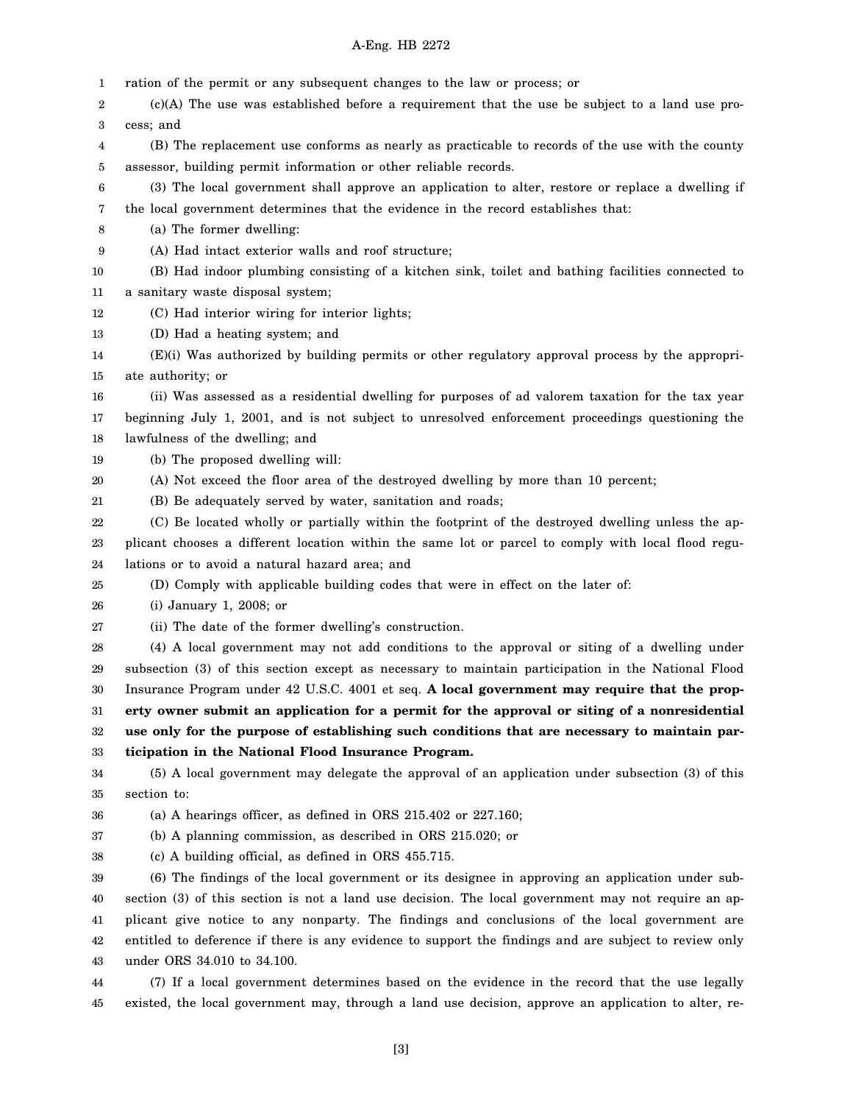#### A-Eng. HB 2272

1 ration of the permit or any subsequent changes to the law or process; or

2 3 (c)(A) The use was established before a requirement that the use be subject to a land use process; and

- 4 5 (B) The replacement use conforms as nearly as practicable to records of the use with the county assessor, building permit information or other reliable records.
- 6 7 (3) The local government shall approve an application to alter, restore or replace a dwelling if the local government determines that the evidence in the record establishes that:
- 8 (a) The former dwelling:
- 9 (A) Had intact exterior walls and roof structure;
- 10 11 (B) Had indoor plumbing consisting of a kitchen sink, toilet and bathing facilities connected to a sanitary waste disposal system;
- 
- 12 (C) Had interior wiring for interior lights;
- 13 (D) Had a heating system; and
- 14 15 (E)(i) Was authorized by building permits or other regulatory approval process by the appropriate authority; or
- 16 17 18 (ii) Was assessed as a residential dwelling for purposes of ad valorem taxation for the tax year beginning July 1, 2001, and is not subject to unresolved enforcement proceedings questioning the lawfulness of the dwelling; and
- 19 (b) The proposed dwelling will:
- 20 (A) Not exceed the floor area of the destroyed dwelling by more than 10 percent;
- 21 (B) Be adequately served by water, sanitation and roads;
- 22 23 24 (C) Be located wholly or partially within the footprint of the destroyed dwelling unless the applicant chooses a different location within the same lot or parcel to comply with local flood regulations or to avoid a natural hazard area; and
- 25 (D) Comply with applicable building codes that were in effect on the later of:
- 26 (i) January 1, 2008; or
- 27 (ii) The date of the former dwelling's construction.
- 28 29 30 31 32 33 (4) A local government may not add conditions to the approval or siting of a dwelling under subsection (3) of this section except as necessary to maintain participation in the National Flood Insurance Program under 42 U.S.C. 4001 et seq. **A local government may require that the property owner submit an application for a permit for the approval or siting of a nonresidential use only for the purpose of establishing such conditions that are necessary to maintain participation in the National Flood Insurance Program.**
- 34 35 (5) A local government may delegate the approval of an application under subsection (3) of this section to:
- 36 (a) A hearings officer, as defined in ORS 215.402 or 227.160;
- 37 (b) A planning commission, as described in ORS 215.020; or
- 38 (c) A building official, as defined in ORS 455.715.

39 40 41 42 43 (6) The findings of the local government or its designee in approving an application under subsection (3) of this section is not a land use decision. The local government may not require an applicant give notice to any nonparty. The findings and conclusions of the local government are entitled to deference if there is any evidence to support the findings and are subject to review only under ORS 34.010 to 34.100.

44 45 (7) If a local government determines based on the evidence in the record that the use legally existed, the local government may, through a land use decision, approve an application to alter, re-